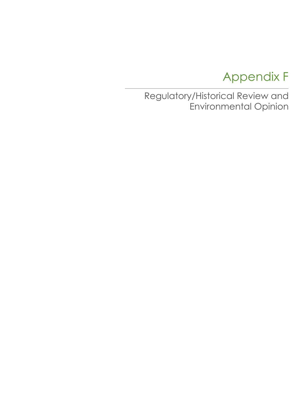# Appendix F

Regulatory/Historical Review and Environmental Opinion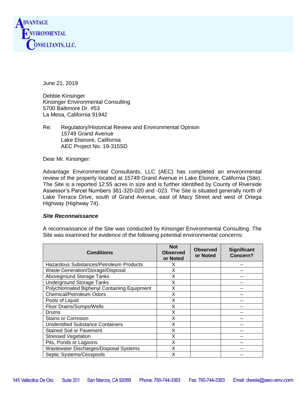

June 21, 2019

Debbie Kinsinger Kinsinger Environmental Consulting 5700 Baltimore Dr. #53 La Mesa, California 91942

Re: Regulatory/Historical Review and Environmental Opinion 15749 Grand Avenue Lake Elsinore, California AEC Project No. 19-315SD

Dear Mr. Kinsinger:

Advantage Environmental Consultants, LLC (AEC) has completed an environmental review of the property located at 15749 Grand Avenue in Lake Elsinore, California (Site). The Site is a reported 12.55 acres in size and is further identified by County of Riverside Assessor's Parcel Numbers 381-320-020 and -023. The Site is situated generally north of Lake Terrace Drive, south of Grand Avenue, east of Macy Street and west of Ortega Highway (Highway 74).

### *Site Reconnaissance*

A reconnaissance of the Site was conducted by Kinsinger Environmental Consulting. The Site was examined for evidence of the following potential environmental concerns:

| <b>Conditions</b>                             | <b>Not</b><br><b>Observed</b><br>or Noted | <b>Observed</b><br>or Noted | <b>Significant</b><br>Concern? |
|-----------------------------------------------|-------------------------------------------|-----------------------------|--------------------------------|
| Hazardous Substances/Petroleum Products       | X                                         |                             |                                |
| Waste Generation/Storage/Disposal             | X                                         |                             |                                |
| Aboveground Storage Tanks                     | X                                         |                             |                                |
| <b>Underground Storage Tanks</b>              | X                                         |                             |                                |
| Polychlorinated Biphenyl Containing Equipment | X                                         |                             |                                |
| Chemical/Petroleum Odors                      | X                                         |                             |                                |
| Pools of Liquid                               | X                                         |                             |                                |
| Floor Drains/Sumps/Wells                      | X                                         |                             |                                |
| Drums                                         | X                                         |                             |                                |
| <b>Stains or Corrosion</b>                    | X                                         |                             |                                |
| <b>Unidentified Substance Containers</b>      | X                                         |                             |                                |
| <b>Stained Soil or Pavement</b>               | X                                         |                             |                                |
| <b>Stressed Vegetation</b>                    | X                                         |                             |                                |
| Pits, Ponds or Lagoons                        | X                                         |                             |                                |
| Wastewater Discharges/Disposal Systems        | X                                         |                             |                                |
| Septic Systems/Cesspools                      | X                                         |                             |                                |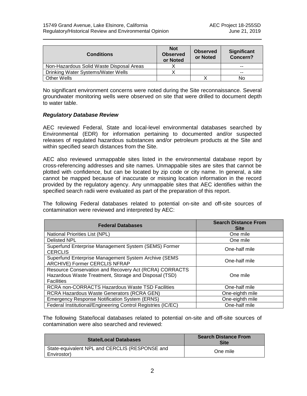| <b>Conditions</b>                        | <b>Not</b><br><b>Observed</b><br>or Noted | <b>Observed</b><br>or Noted | <b>Significant</b><br>Concern? |
|------------------------------------------|-------------------------------------------|-----------------------------|--------------------------------|
| Non-Hazardous Solid Waste Disposal Areas |                                           |                             | $- -$                          |
| Drinking Water Systems/Water Wells       |                                           |                             | $- -$                          |
| <b>Other Wells</b>                       |                                           |                             | No                             |

No significant environment concerns were noted during the Site reconnaissance. Several groundwater monitoring wells were observed on site that were drilled to document depth to water table.

# *Regulatory Database Review*

AEC reviewed Federal, State and local-level environmental databases searched by Environmental (EDR) for information pertaining to documented and/or suspected releases of regulated hazardous substances and/or petroleum products at the Site and within specified search distances from the Site.

AEC also reviewed unmappable sites listed in the environmental database report by cross-referencing addresses and site names. Unmappable sites are sites that cannot be plotted with confidence, but can be located by zip code or city name. In general, a site cannot be mapped because of inaccurate or missing location information in the record provided by the regulatory agency. Any unmappable sites that AEC identifies within the specified search radii were evaluated as part of the preparation of this report.

The following Federal databases related to potential on-site and off-site sources of contamination were reviewed and interpreted by AEC:

| <b>Federal Databases</b>                                                                                                             | <b>Search Distance From</b><br><b>Site</b> |
|--------------------------------------------------------------------------------------------------------------------------------------|--------------------------------------------|
| National Priorities List (NPL)                                                                                                       | One mile                                   |
| <b>Delisted NPL</b>                                                                                                                  | One mile                                   |
| Superfund Enterprise Management System (SEMS) Former<br><b>CERCLIS</b>                                                               | One-half mile                              |
| Superfund Enterprise Management System Archive (SEMS<br>ARCHIVE) Former CERCLIS NFRAP                                                | One-half mile                              |
| Resource Conservation and Recovery Act (RCRA) CORRACTS<br>Hazardous Waste Treatment, Storage and Disposal (TSD)<br><b>Facilities</b> | One mile                                   |
| RCRA non-CORRACTS Hazardous Waste TSD Facilities                                                                                     | One-half mile                              |
| <b>RCRA Hazardous Waste Generators (RCRA GEN)</b>                                                                                    | One-eighth mile                            |
| <b>Emergency Response Notification System (ERNS)</b>                                                                                 | One-eighth mile                            |
| Federal Institutional/Engineering Control Registries (IC/EC)                                                                         | One-half mile                              |

The following State/local databases related to potential on-site and off-site sources of contamination were also searched and reviewed:

| <b>State/Local Databases</b>                                  | <b>Search Distance From</b><br><b>Site</b> |
|---------------------------------------------------------------|--------------------------------------------|
| State-equivalent NPL and CERCLIS (RESPONSE and<br>Envirostor) | One mile                                   |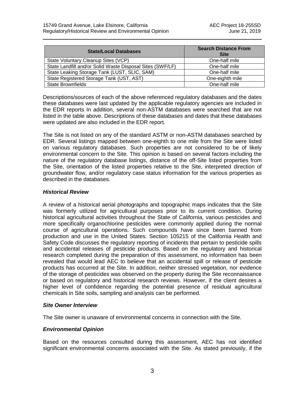| <b>State/Local Databases</b>                              | <b>Search Distance From</b><br><b>Site</b> |  |
|-----------------------------------------------------------|--------------------------------------------|--|
| State Voluntary Cleanup Sites (VCP)                       | One-half mile                              |  |
| State Landfill and/or Solid Waste Disposal Sites (SWF/LF) | One-half mile                              |  |
| State Leaking Storage Tank (LUST, SLIC, SAM)              | One-half mile                              |  |
| State Registered Storage Tank (UST, AST)                  | One-eighth mile                            |  |
| <b>State Brownfields</b>                                  | One-half mile                              |  |

Descriptions/sources of each of the above referenced regulatory databases and the dates these databases were last updated by the applicable regulatory agencies are included in the EDR reports In addition, several non-ASTM databases were searched that are not listed in the table above. Descriptions of these databases and dates that these databases were updated are also included in the EDR report.

The Site is not listed on any of the standard ASTM or non-ASTM databases searched by EDR. Several listings mapped between one-eighth to one mile from the Site were listed on various regulatory databases. Such properties are not considered to be of likely environmental concern to the Site. This opinion is based on several factors including the nature of the regulatory database listings, distance of the off-Site listed properties from the Site, orientation of the listed properties relative to the Site, interpreted direction of groundwater flow, and/or regulatory case status information for the various properties as described in the databases.

## *Historical Review*

A review of a historical aerial photographs and topographic maps indicates that the Site was formerly utilized for agricultural purposes prior to its current condition. During historical agricultural activities throughout the State of California, various pesticides and more specifically organochlorine pesticides were commonly applied during the normal course of agricultural operations. Such compounds have since been banned from production and use in the United States. Section 105215 of the California Health and Safety Code discusses the regulatory reporting of incidents that pertain to pesticide spills and accidental releases of pesticide products. Based on the regulatory and historical research completed during the preparation of this assessment, no information has been revealed that would lead AEC to believe that an accidental spill or release of pesticide products has occurred at the Site. In addition, neither stressed vegetation, nor evidence of the storage of pesticides was observed on the property during the Site reconnaissance or based on regulatory and historical research reviews. However, if the client desires a higher level of confidence regarding the potential presence of residual agricultural chemicals in Site soils, sampling and analysis can be performed.

# *Site Owner Interview*

The Site owner is unaware of environmental concerns in connection with the Site.

# *Environmental Opinion*

Based on the resources consulted during this assessment, AEC has not identified significant environmental concerns associated with the Site. As stated previously, if the